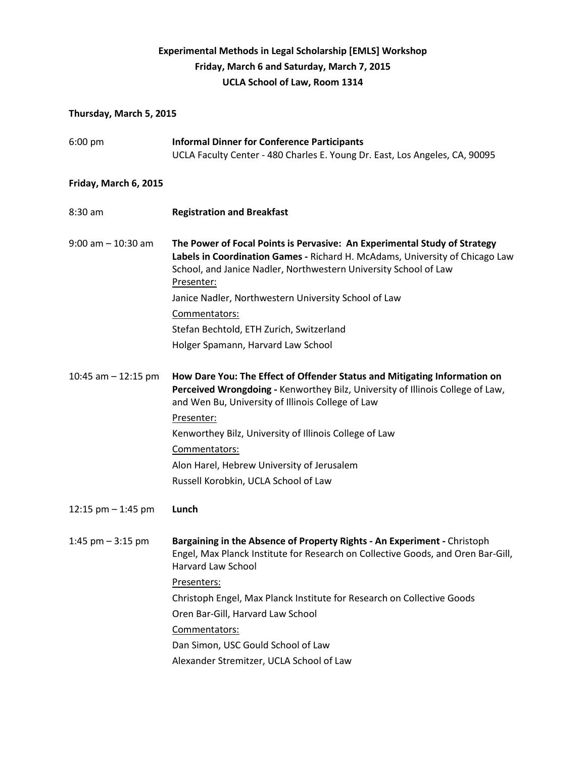## **Experimental Methods in Legal Scholarship [EMLS] Workshop Friday, March 6 and Saturday, March 7, 2015 UCLA School of Law, Room 1314**

## **Thursday, March 5, 2015**

| $6:00$ pm             | <b>Informal Dinner for Conference Participants</b><br>UCLA Faculty Center - 480 Charles E. Young Dr. East, Los Angeles, CA, 90095                                                                                                                                                                                                                                                               |
|-----------------------|-------------------------------------------------------------------------------------------------------------------------------------------------------------------------------------------------------------------------------------------------------------------------------------------------------------------------------------------------------------------------------------------------|
| Friday, March 6, 2015 |                                                                                                                                                                                                                                                                                                                                                                                                 |
| $8:30$ am             | <b>Registration and Breakfast</b>                                                                                                                                                                                                                                                                                                                                                               |
| $9:00$ am $-10:30$ am | The Power of Focal Points is Pervasive: An Experimental Study of Strategy<br>Labels in Coordination Games - Richard H. McAdams, University of Chicago Law<br>School, and Janice Nadler, Northwestern University School of Law<br>Presenter:<br>Janice Nadler, Northwestern University School of Law<br>Commentators:<br>Stefan Bechtold, ETH Zurich, Switzerland                                |
|                       | Holger Spamann, Harvard Law School                                                                                                                                                                                                                                                                                                                                                              |
| 10:45 am $-$ 12:15 pm | How Dare You: The Effect of Offender Status and Mitigating Information on<br>Perceived Wrongdoing - Kenworthey Bilz, University of Illinois College of Law,<br>and Wen Bu, University of Illinois College of Law<br>Presenter:<br>Kenworthey Bilz, University of Illinois College of Law<br>Commentators:<br>Alon Harel, Hebrew University of Jerusalem<br>Russell Korobkin, UCLA School of Law |
| 12:15 pm $-$ 1:45 pm  | Lunch                                                                                                                                                                                                                                                                                                                                                                                           |
| 1:45 pm $-$ 3:15 pm   | Bargaining in the Absence of Property Rights - An Experiment - Christoph<br>Engel, Max Planck Institute for Research on Collective Goods, and Oren Bar-Gill,<br>Harvard Law School<br>Presenters:<br>Christoph Engel, Max Planck Institute for Research on Collective Goods<br>Oren Bar-Gill, Harvard Law School<br>Commentators:<br>Dan Simon, USC Gould School of Law                         |
|                       | Alexander Stremitzer, UCLA School of Law                                                                                                                                                                                                                                                                                                                                                        |